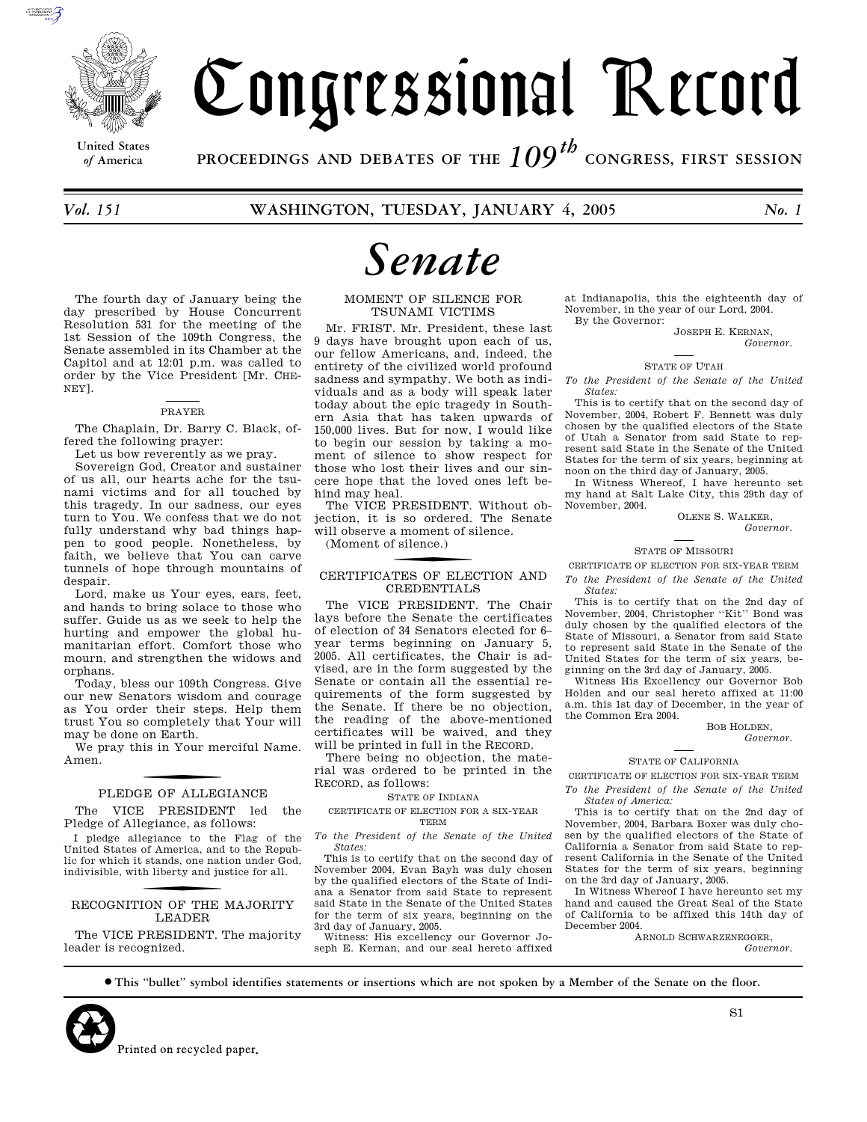

# Congressional Record

**United States**

*of* **America PROCEEDINGS AND DEBATES OF THE** *109th*  **CONGRESS, FIRST SESSION**

*Vol. 151* **WASHINGTON, TUESDAY, JANUARY 4, 2005** *No. 1* 

The fourth day of January being the day prescribed by House Concurrent Resolution 531 for the meeting of the 1st Session of the 109th Congress, the Senate assembled in its Chamber at the Capitol and at 12:01 p.m. was called to order by the Vice President [Mr. CHE-NEY].

#### PRAYER

The Chaplain, Dr. Barry C. Black, offered the following prayer:

Let us bow reverently as we pray.

Sovereign God, Creator and sustainer of us all, our hearts ache for the tsunami victims and for all touched by this tragedy. In our sadness, our eyes turn to You. We confess that we do not fully understand why bad things happen to good people. Nonetheless, by faith, we believe that You can carve tunnels of hope through mountains of despair.

Lord, make us Your eyes, ears, feet, and hands to bring solace to those who suffer. Guide us as we seek to help the hurting and empower the global humanitarian effort. Comfort those who mourn, and strengthen the widows and orphans.

Today, bless our 109th Congress. Give our new Senators wisdom and courage as You order their steps. Help them trust You so completely that Your will may be done on Earth.

We pray this in Your merciful Name. Amen.

## PLEDGE OF ALLEGIANCE

The VICE PRESIDENT led the Pledge of Allegiance, as follows:

I pledge allegiance to the Flag of the United States of America, and to the Republic for which it stands, one nation under God, indivisible, with liberty and justice for all.

## RECOGNITION OF THE MAJORITY LEADER

The VICE PRESIDENT. The majority leader is recognized.

## *Senate*

#### MOMENT OF SILENCE FOR TSUNAMI VICTIMS

Mr. FRIST. Mr. President, these last 9 days have brought upon each of us, our fellow Americans, and, indeed, the entirety of the civilized world profound sadness and sympathy. We both as individuals and as a body will speak later today about the epic tragedy in Southern Asia that has taken upwards of 150,000 lives. But for now, I would like to begin our session by taking a moment of silence to show respect for those who lost their lives and our sincere hope that the loved ones left behind may heal.

The VICE PRESIDENT. Without objection, it is so ordered. The Senate will observe a moment of silence.

(Moment of silence.)

## CERTIFICATES OF ELECTION AND CREDENTIALS

The VICE PRESIDENT. The Chair lays before the Senate the certificates of election of 34 Senators elected for 6– year terms beginning on January 5, 2005. All certificates, the Chair is advised, are in the form suggested by the Senate or contain all the essential requirements of the form suggested by the Senate. If there be no objection, the reading of the above-mentioned certificates will be waived, and they will be printed in full in the RECORD.

There being no objection, the material was ordered to be printed in the RECORD, as follows:

STATE OF INDIANA

CERTIFICATE OF ELECTION FOR A SIX-YEAR TERM

*To the President of the Senate of the United States:* 

This is to certify that on the second day of November 2004, Evan Bayh was duly chosen by the qualified electors of the State of Indiana a Senator from said State to represent said State in the Senate of the United States for the term of six years, beginning on the 3rd day of January, 2005.

Witness: His excellency our Governor Joseph E. Kernan, and our seal hereto affixed

at Indianapolis, this the eighteenth day of November, in the year of our Lord, 2004. By the Governor:

JOSEPH E. KERNAN, *Governor.* 

#### STATE OF UTAH

*To the President of the Senate of the United States:* 

This is to certify that on the second day of November, 2004, Robert F. Bennett was duly chosen by the qualified electors of the State of Utah a Senator from said State to represent said State in the Senate of the United States for the term of six years, beginning at noon on the third day of January, 2005.

In Witness Whereof, I have hereunto set my hand at Salt Lake City, this 29th day of November, 2004.

OLENE S. WALKER, *Governor.* 

#### STATE OF MISSOURI

CERTIFICATE OF ELECTION FOR SIX-YEAR TERM

*To the President of the Senate of the United States:* 

This is to certify that on the 2nd day of November, 2004, Christopher ''Kit'' Bond was duly chosen by the qualified electors of the State of Missouri, a Senator from said State to represent said State in the Senate of the United States for the term of six years, beginning on the 3rd day of January, 2005.

Witness His Excellency our Governor Bob Holden and our seal hereto affixed at 11:00 a.m. this 1st day of December, in the year of the Common Era 2004.

BOB HOLDEN, *Governor.* 

#### STATE OF CALIFORNIA

CERTIFICATE OF ELECTION FOR SIX-YEAR TERM

*To the President of the Senate of the United States of America:* 

This is to certify that on the 2nd day of November, 2004, Barbara Boxer was duly chosen by the qualified electors of the State of California a Senator from said State to represent California in the Senate of the United States for the term of six years, beginning on the 3rd day of January, 2005.

In Witness Whereof I have hereunto set my hand and caused the Great Seal of the State of California to be affixed this 14th day of December 2004.

ARNOLD SCHWARZENEGGER, *Governor.* 

∑ **This ''bullet'' symbol identifies statements or insertions which are not spoken by a Member of the Senate on the floor.**



S1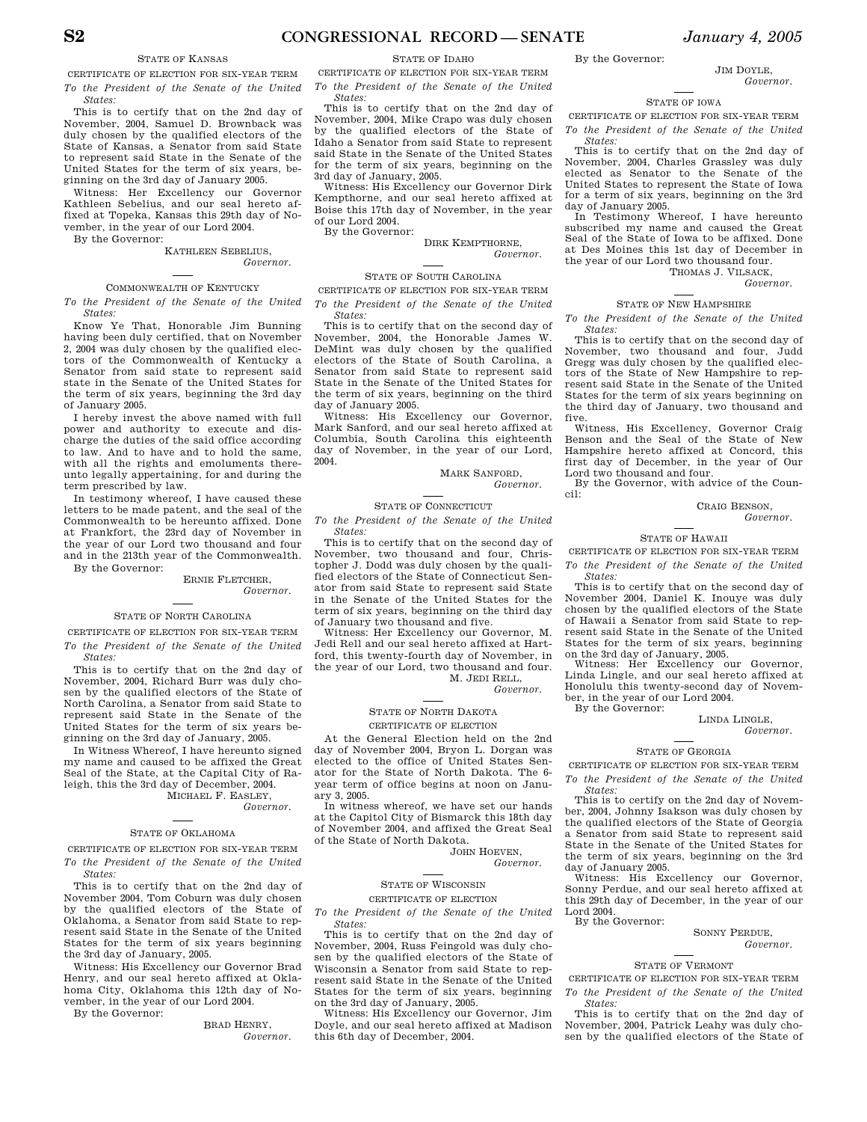#### STATE OF KANSAS

CERTIFICATE OF ELECTION FOR SIX-YEAR TERM

*To the President of the Senate of the United States:* 

This is to certify that on the 2nd day of November, 2004, Samuel D. Brownback was duly chosen by the qualified electors of the State of Kansas, a Senator from said State to represent said State in the Senate of the United States for the term of six years, beginning on the 3rd day of January 2005.

Witness: Her Excellency our Governor Kathleen Sebelius, and our seal hereto affixed at Topeka, Kansas this 29th day of November, in the year of our Lord 2004.

By the Governor:

KATHLEEN SEBELIUS, *Governor.* 

#### COMMONWEALTH OF KENTUCKY

*To the President of the Senate of the United States:* 

Know Ye That, Honorable Jim Bunning having been duly certified, that on November 2, 2004 was duly chosen by the qualified electors of the Commonwealth of Kentucky a Senator from said state to represent said state in the Senate of the United States for the term of six years, beginning the 3rd day of January 2005.

I hereby invest the above named with full power and authority to execute and discharge the duties of the said office according to law. And to have and to hold the same, with all the rights and emoluments thereunto legally appertaining, for and during the term prescribed by law.

In testimony whereof, I have caused these letters to be made patent, and the seal of the Commonwealth to be hereunto affixed. Done at Frankfort, the 23rd day of November in the year of our Lord two thousand and four and in the 213th year of the Commonwealth. By the Governor:

ERNIE FLETCHER,

*Governor.* 

#### STATE OF NORTH CAROLINA

CERTIFICATE OF ELECTION FOR SIX-YEAR TERM *To the President of the Senate of the United States:* 

This is to certify that on the 2nd day of November, 2004, Richard Burr was duly chosen by the qualified electors of the State of North Carolina, a Senator from said State to represent said State in the Senate of the United States for the term of six years beginning on the 3rd day of January, 2005.

In Witness Whereof, I have hereunto signed my name and caused to be affixed the Great Seal of the State, at the Capital City of Raleigh, this the 3rd day of December, 2004. MICHAEL F. EASLEY,

*Governor.* 

#### STATE OF OKLAHOMA

CERTIFICATE OF ELECTION FOR SIX-YEAR TERM *To the President of the Senate of the United States:* 

This is to certify that on the 2nd day of November 2004, Tom Coburn was duly chosen by the qualified electors of the State of Oklahoma, a Senator from said State to represent said State in the Senate of the United States for the term of six years beginning the 3rd day of January, 2005.

Witness: His Excellency our Governor Brad Henry, and our seal hereto affixed at Oklahoma City, Oklahoma this 12th day of November, in the year of our Lord 2004.

By the Governor:

BRAD HENRY, *Governor.* 

CERTIFICATE OF ELECTION FOR SIX-YEAR TERM *To the President of the Senate of the United States:* 

This is to certify that on the 2nd day of November, 2004, Mike Crapo was duly chosen by the qualified electors of the State of Idaho a Senator from said State to represent said State in the Senate of the United States for the term of six years, beginning on the 3rd day of January, 2005.

Witness: His Excellency our Governor Dirk Kempthorne, and our seal hereto affixed at Boise this 17th day of November, in the year of our Lord 2004.

By the Governor:

DIRK KEMPTHORNE, *Governor.* 

#### STATE OF SOUTH CAROLINA

CERTIFICATE OF ELECTION FOR SIX-YEAR TERM *To the President of the Senate of the United States:* 

This is to certify that on the second day of November, 2004, the Honorable James W. DeMint was duly chosen by the qualified electors of the State of South Carolina, a Senator from said State to represent said State in the Senate of the United States for the term of six years, beginning on the third day of January 2005.

Witness: His Excellency our Governor, Mark Sanford, and our seal hereto affixed at Columbia, South Carolina this eighteenth day of November, in the year of our Lord, 2004.

MARK SANFORD,

*States:* 

November, two thousand and four, Christopher J. Dodd was duly chosen by the qualified electors of the State of Connecticut Senator from said State to represent said State in the Senate of the United States for the term of six years, beginning on the third day of January two thousand and five.

Jedi Rell and our seal hereto affixed at Hartford, this twenty-fourth day of November, in the year of our Lord, two thousand and four. M. JEDI RELL,

#### STATE OF NORTH DAKOTA CERTIFICATE OF ELECTION

At the General Election held on the 2nd day of November 2004, Bryon L. Dorgan was elected to the office of United States Senator for the State of North Dakota. The 6 year term of office begins at noon on January 3, 2005.

In witness whereof, we have set our hands at the Capitol City of Bismarck this 18th day of November 2004, and affixed the Great Seal of the State of North Dakota.

> JOHN HOEVEN, *Governor.*

#### STATE OF WISCONSIN

#### CERTIFICATE OF ELECTION

*To the President of the Senate of the United States:* 

This is to certify that on the 2nd day of November, 2004, Russ Feingold was duly chosen by the qualified electors of the State of Wisconsin a Senator from said State to represent said State in the Senate of the United States for the term of six years, beginning on the 3rd day of January, 2005.

Witness: His Excellency our Governor, Jim Doyle, and our seal hereto affixed at Madison this 6th day of December, 2004.

By the Governor:

JIM DOVLE *Governor.* 

#### STATE OF IOWA

CERTIFICATE OF ELECTION FOR SIX-YEAR TERM *To the President of the Senate of the United States:* 

This is to certify that on the 2nd day of November, 2004, Charles Grassley was duly elected as Senator to the Senate of the United States to represent the State of Iowa for a term of six years, beginning on the 3rd day of January 2005.

In Testimony Whereof, I have hereunto subscribed my name and caused the Great Seal of the State of Iowa to be affixed. Done at Des Moines this 1st day of December in the year of our Lord two thousand four.

THOMAS J. VILSACK,

*Governor.* 

#### STATE OF NEW HAMPSHIRE

*To the President of the Senate of the United States:* 

This is to certify that on the second day of November, two thousand and four, Judd Gregg was duly chosen by the qualified electors of the State of New Hampshire to represent said State in the Senate of the United States for the term of six years beginning on the third day of January, two thousand and five.

Witness, His Excellency, Governor Craig Benson and the Seal of the State of New Hampshire hereto affixed at Concord, this first day of December, in the year of Our Lord two thousand and four.

By the Governor, with advice of the Council:

CRAIG BENSON,

*Governor.* 

#### STATE OF HAWAII

#### CERTIFICATE OF ELECTION FOR SIX-YEAR TERM

*To the President of the Senate of the United States:* 

This is to certify that on the second day of November 2004, Daniel K. Inouye was duly chosen by the qualified electors of the State of Hawaii a Senator from said State to represent said State in the Senate of the United States for the term of six years, beginning on the 3rd day of January, 2005.

Witness: Her Excellency our Governor, Linda Lingle, and our seal hereto affixed at Honolulu this twenty-second day of November, in the year of our Lord 2004.

By the Governor:

#### LINDA LINGLE, *Governor.*

#### STATE OF GEORGIA

CERTIFICATE OF ELECTION FOR SIX-YEAR TERM *To the President of the Senate of the United States:* 

This is to certify on the 2nd day of November, 2004, Johnny Isakson was duly chosen by the qualified electors of the State of Georgia a Senator from said State to represent said State in the Senate of the United States for the term of six years, beginning on the 3rd day of January 2005.

Witness: His Excellency our Governor, Sonny Perdue, and our seal hereto affixed at this 29th day of December, in the year of our Lord 2004.

By the Governor:

SONNY PERDUE, *Governor.* 

### STATE OF VERMONT

CERTIFICATE OF ELECTION FOR SIX-YEAR TERM *To the President of the Senate of the United States:* 

This is to certify that on the 2nd day of November, 2004, Patrick Leahy was duly chosen by the qualified electors of the State of

*Governor.* 

#### STATE OF CONNECTICUT

*To the President of the Senate of the United* 

This is to certify that on the second day of

Witness: Her Excellency our Governor, M.

*Governor.*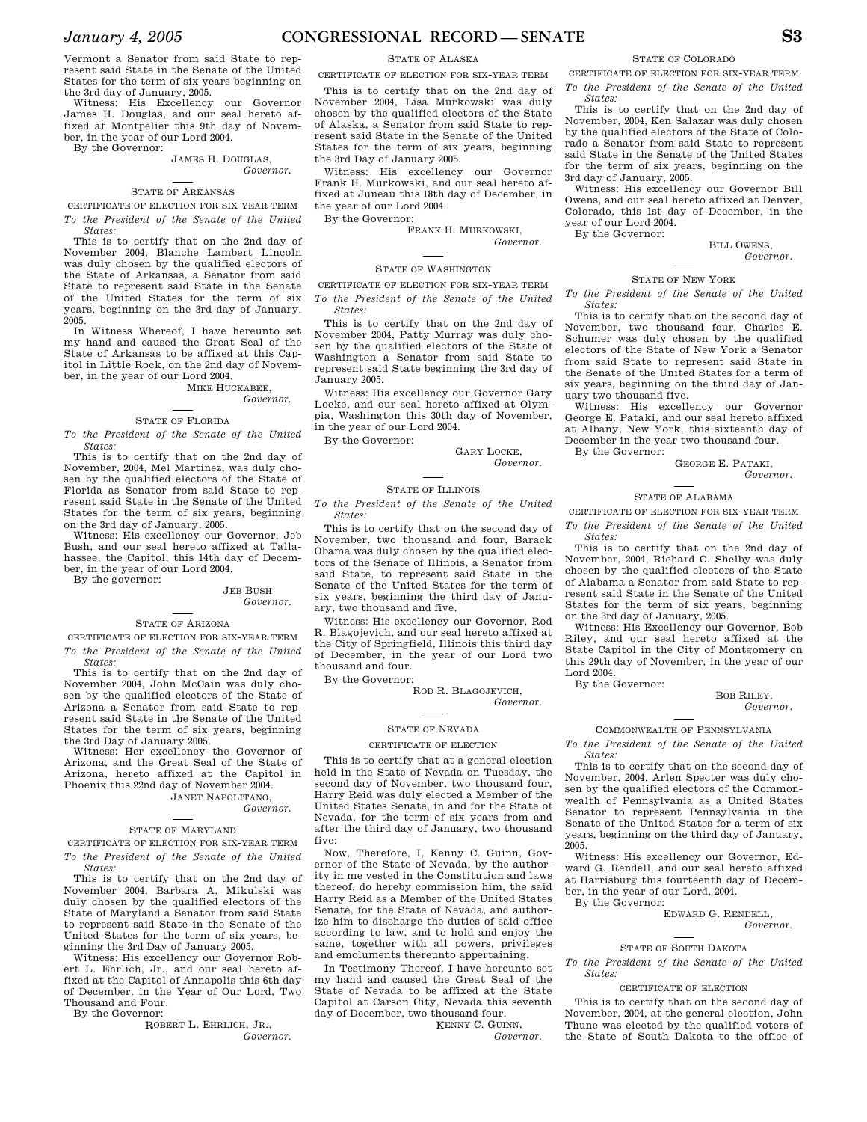CERTIFICATE OF ELECTION FOR SIX-YEAR TERM

Vermont a Senator from said State to represent said State in the Senate of the United States for the term of six years beginning on the 3rd day of January, 2005.

Witness: His Excellency our Governor James H. Douglas, and our seal hereto affixed at Montpelier this 9th day of November, in the year of our Lord 2004.

By the Governor:

#### JAMES H. DOUGLAS, *Governor.*

#### STATE OF ARKANSAS

CERTIFICATE OF ELECTION FOR SIX-YEAR TERM *To the President of the Senate of the United States:* 

This is to certify that on the 2nd day of November 2004, Blanche Lambert Lincoln was duly chosen by the qualified electors of the State of Arkansas, a Senator from said State to represent said State in the Senate of the United States for the term of six years, beginning on the 3rd day of January, 2005.

In Witness Whereof, I have hereunto set my hand and caused the Great Seal of the State of Arkansas to be affixed at this Capitol in Little Rock, on the 2nd day of November, in the year of our Lord 2004.

MIKE HUCKABEE

#### *Governor.*

#### STATE OF FLORIDA

*To the President of the Senate of the United States:* 

This is to certify that on the 2nd day of November, 2004, Mel Martinez, was duly chosen by the qualified electors of the State of Florida as Senator from said State to represent said State in the Senate of the United States for the term of six years, beginning

on the 3rd day of January, 2005. Witness: His excellency our Governor, Jeb Bush, and our seal hereto affixed at Tallahassee, the Capitol, this 14th day of December, in the year of our Lord 2004.

By the governor:

#### JEB BUSH *Governor.*

#### STATE OF ARIZONA

CERTIFICATE OF ELECTION FOR SIX-YEAR TERM *To the President of the Senate of the United States:* 

This is to certify that on the 2nd day of November 2004, John McCain was duly chosen by the qualified electors of the State of Arizona a Senator from said State to represent said State in the Senate of the United States for the term of six years, beginning the 3rd Day of January 2005.

Witness: Her excellency the Governor of Arizona, and the Great Seal of the State of Arizona, hereto affixed at the Capitol in Phoenix this 22nd day of November 2004. JANET NAPOLITANO,

*Governor.* 

#### STATE OF MARYLAND

CERTIFICATE OF ELECTION FOR SIX-YEAR TERM *To the President of the Senate of the United States:* 

This is to certify that on the 2nd day of November 2004, Barbara A. Mikulski was duly chosen by the qualified electors of the State of Maryland a Senator from said State to represent said State in the Senate of the United States for the term of six years, beginning the 3rd Day of January 2005.

Witness: His excellency our Governor Robert L. Ehrlich, Jr., and our seal hereto affixed at the Capitol of Annapolis this 6th day of December, in the Year of Our Lord, Two Thousand and Four.

By the Governor:

ROBERT L. EHRLICH, JR., *Governor.* 

This is to certify that on the 2nd day of November 2004, Lisa Murkowski was duly

chosen by the qualified electors of the State of Alaska, a Senator from said State to represent said State in the Senate of the United States for the term of six years, beginning the 3rd Day of January 2005.

Witness: His excellency our Governor Frank H. Murkowski, and our seal hereto affixed at Juneau this 18th day of December, in the year of our Lord 2004.

By the Governor:

FRANK H. MURKOWSKI,

*Governor.* 

#### STATE OF WASHINGTON

#### CERTIFICATE OF ELECTION FOR SIX-YEAR TERM

*To the President of the Senate of the United States:* 

This is to certify that on the 2nd day of November 2004, Patty Murray was duly chosen by the qualified electors of the State of Washington a Senator from said State to represent said State beginning the 3rd day of January 2005.

Witness: His excellency our Governor Gary Locke, and our seal hereto affixed at Olympia, Washington this 30th day of November, in the year of our Lord 2004.

By the Governor:

#### GARY LOCKE, *Governor.*

#### STATE OF ILLINOIS

*To the President of the Senate of the United States:* 

This is to certify that on the second day of November, two thousand and four, Barack Obama was duly chosen by the qualified electors of the Senate of Illinois, a Senator from said State, to represent said State in the Senate of the United States for the term of six years, beginning the third day of January, two thousand and five.

Witness: His excellency our Governor, Rod R. Blagojevich, and our seal hereto affixed at the City of Springfield, Illinois this third day of December, in the year of our Lord two thousand and four.

By the Governor:

ROD R. BLAGOJEVICH, *Governor.* 

#### STATE OF NEVADA

#### CERTIFICATE OF ELECTION

This is to certify that at a general election held in the State of Nevada on Tuesday, the second day of November, two thousand four, Harry Reid was duly elected a Member of the United States Senate, in and for the State of Nevada, for the term of six years from and after the third day of January, two thousand five:

Now, Therefore, I, Kenny C. Guinn, Governor of the State of Nevada, by the authority in me vested in the Constitution and laws thereof, do hereby commission him, the said Harry Reid as a Member of the United States Senate, for the State of Nevada, and authorize him to discharge the duties of said office according to law, and to hold and enjoy the same, together with all powers, privileges and emoluments thereunto appertaining.

In Testimony Thereof, I have hereunto set my hand and caused the Great Seal of the State of Nevada to be affixed at the State Capitol at Carson City, Nevada this seventh day of December, two thousand four.

KENNY C. GUINN,

*Governor.* 

#### STATE OF COLORADO

CERTIFICATE OF ELECTION FOR SIX-YEAR TERM *To the President of the Senate of the United States:* 

This is to certify that on the 2nd day of November, 2004, Ken Salazar was duly chosen by the qualified electors of the State of Colorado a Senator from said State to represent said State in the Senate of the United States for the term of six years, beginning on the 3rd day of January, 2005.

Witness: His excellency our Governor Bill Owens, and our seal hereto affixed at Denver, Colorado, this 1st day of December, in the year of our Lord 2004.

By the Governor:

BILL OWENS, *Governor.* 

#### STATE OF NEW YORK

*To the President of the Senate of the United States:* 

This is to certify that on the second day of November, two thousand four, Charles E. Schumer was duly chosen by the qualified electors of the State of New York a Senator from said State to represent said State in the Senate of the United States for a term of six years, beginning on the third day of January two thousand five.

Witness: His excellency our Governor George E. Pataki, and our seal hereto affixed at Albany, New York, this sixteenth day of December in the year two thousand four. By the Governor:

GEORGE E. PATAKI,

#### *Governor.*

#### STATE OF ALABAMA

CERTIFICATE OF ELECTION FOR SIX-YEAR TERM *To the President of the Senate of the United* 

*States:*  This is to certify that on the 2nd day of November, 2004, Richard C. Shelby was duly chosen by the qualified electors of the State of Alabama a Senator from said State to represent said State in the Senate of the United States for the term of six years, beginning on the 3rd day of January, 2005.

Witness: His Excellency our Governor, Bob Riley, and our seal hereto affixed at the State Capitol in the City of Montgomery on this 29th day of November, in the year of our Lord 2004.

By the Governor:

#### BOB RILEY, *Governor.*

COMMONWEALTH OF PENNSYLVANIA

*To the President of the Senate of the United States:* 

This is to certify that on the second day of November, 2004, Arlen Specter was duly chosen by the qualified electors of the Commonwealth of Pennsylvania as a United States Senator to represent Pennsylvania in the Senate of the United States for a term of six years, beginning on the third day of January, 2005.

Witness: His excellency our Governor, Edward G. Rendell, and our seal hereto affixed at Harrisburg this fourteenth day of December, in the year of our Lord, 2004. By the Governor:

EDWARD G. RENDELL,

*Governor.* 

#### STATE OF SOUTH DAKOTA

*To the President of the Senate of the United States:* 

#### CERTIFICATE OF ELECTION

This is to certify that on the second day of November, 2004, at the general election, John Thune was elected by the qualified voters of the State of South Dakota to the office of